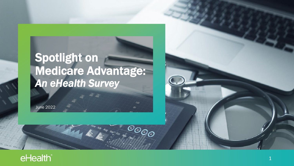# Spotlight on Medicare Advantage: *An eHealth Survey*

 $100$ 

 $\overline{\mathcal{O}_{\mathcal{O}_{\mathcal{O}}}}$ 

Aug Septe Oct Nov

June 2022

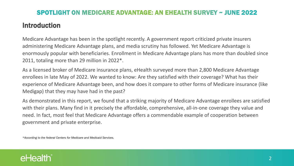### Introduction

Medicare Advantage has been in the spotlight recently. A government report criticized private insurers administering Medicare Advantage plans, and media scrutiny has followed. Yet Medicare Advantage is enormously popular with beneficiaries. Enrollment in Medicare Advantage plans has more than doubled since 2011, totaling more than 29 million in 2022\*.

As a licensed broker of Medicare insurance plans, eHealth surveyed more than 2,800 Medicare Advantage enrollees in late May of 2022. We wanted to know: Are they satisfied with their coverage? What has their experience of Medicare Advantage been, and how does it compare to other forms of Medicare insurance (like Medigap) that they may have had in the past?

As demonstrated in this report, we found that a striking majority of Medicare Advantage enrollees are satisfied with their plans. Many find in it precisely the affordable, comprehensive, all-in-one coverage they value and need. In fact, most feel that Medicare Advantage offers a commendable example of cooperation between government and private enterprise.

*\*According to the federal Centers for Medicare and Medicaid Services.*

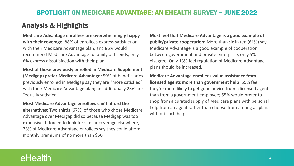### Analysis & Highlights

#### **Medicare Advantage enrollees are overwhelmingly happy with their coverage:** 88% of enrollees express satisfaction with their Medicare Advantage plan, and 86% would recommend Medicare Advantage to family or friends; only 6% express dissatisfaction with their plan.

**Most of those previously enrolled in Medicare Supplement (Medigap) prefer Medicare Advantage:** 59% of beneficiaries previously enrolled in Medigap say they are "more satisfied" with their Medicare Advantage plan; an additionally 23% are "equally satisfied."

**Most Medicare Advantage enrollees can't afford the alternatives:** Two thirds (67%) of those who chose Medicare Advantage over Medigap did so because Medigap was too expensive. If forced to look for similar coverage elsewhere, 73% of Medicare Advantage enrollees say they could afford monthly premiums of no more than \$50.

**Most feel that Medicare Advantage is a good example of public/private cooperation:** More than six in ten (61%) say Medicare Advantage is a good example of cooperation between government and private enterprise; only 5% disagree. Only 13% feel regulation of Medicare Advantage plans should be increased.

**Medicare Advantage enrollees value assistance from licensed agents more than government help**: 65% feel they're more likely to get good advice from a licensed agent than from a government employee; 55% would prefer to shop from a curated supply of Medicare plans with personal help from an agent rather than choose from among all plans without such help.

## eHealth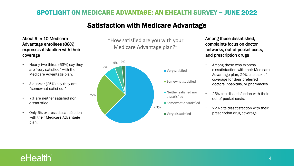### Satisfaction with Medicare Advantage

#### About 9 in 10 Medicare Advantage enrollees (88%) express satisfaction with their coverage

- Nearly two thirds (63%) say they are "very satisfied" with their Medicare Advantage plan.
- A quarter (25%) say they are "somewhat satisfied."
- 7% are neither satisfied nor dissatisfied.
- Only 6% express dissatisfaction with their Medicare Advantage plan.

"How satisfied are you with your Medicare Advantage plan?"



Among those dissatisfied, complaints focus on doctor networks, out-of-pocket costs, and prescription drugs

- Among those who express dissatisfaction with their Medicare Advantage plan, 29% cite lack of coverage for their preferred doctors, hospitals, or pharmacies.
- 25% cite dissatisfaction with their out-of-pocket costs.
- 22% cite dissatisfaction with their prescription drug coverage.

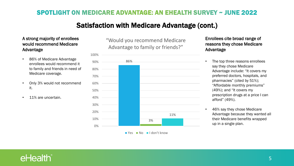### Satisfaction with Medicare Advantage (cont.)

#### A strong majority of enrollees would recommend Medicare Advantage

- 86% of Medicare Advantage enrollees would recommend it to family and friends in need of Medicare coverage.
- Only 3% would not recommend it.
- 11% are uncertain.

"Would you recommend Medicare Advantage to family or friends?"



Yes No I don't know

Enrollees cite broad range of reasons they chose Medicare Advantage

- The top three reasons enrollees say they chose Medicare Advantage include: "It covers my preferred doctors, hospitals, and pharmacies" (cited by 51%); "Affordable monthly premiums" (49%); and "It covers my prescription drugs at a price I can afford" (49%).
- 46% say they chose Medicare Advantage because they wanted all their Medicare benefits wrapped up in a single plan.

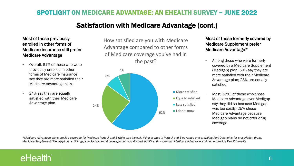#### Satisfaction with Medicare Advantage (cont.)

#### Most of those previously enrolled in other forms of Medicare insurance still prefer Medicare Advantage

- Overall, 61% of those who were previously enrolled in other forms of Medicare insurance say they are more satisfied their Medicare Advantage plan.
- 24% say they are equally satisfied with their Medicare Advantage plan.

How satisfied are you with Medicare Advantage compared to other forms of Medicare coverage you've had in the past?



#### Most of those formerly covered by Medicare Supplement prefer Medicare Advantage\*

- Among those who were formerly covered by a Medicare Supplement (Medigap) plan, 59% say they are more satisfied with their Medicare Advantage plan; 23% are equally satisfied.
- Most (67%) of those who chose Medicare Advantage over Medigap say they did so because Medigap was too costly; 25% chose Medicare Advantage because Medigap plans do not offer drug coverage.

*\*Medicare Advantage plans provide coverage for Medicare Parts A and B while also typically filling in gaps in Parts A and B coverage and providing Part D benefits for prescription drugs. Medicare Supplement (Medigap) plans fill in gaps in Parts A and B coverage but typically cost significantly more than Medicare Advantage and do not provide Part D benefits.*

# eHealth®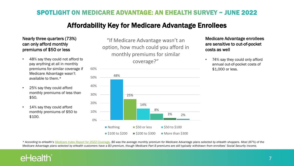### Affordability Key for Medicare Advantage Enrollees

#### Nearly three quarters (73%) can only afford monthly premiums of \$50 or less

- 48% say they could not afford to pay anything at all in monthly premiums for similar coverage if Medicare Advantage wasn't available to them.\*
- 25% say they could afford monthly premiums of less than \$50.
- 14% say they could afford monthly premiums of \$50 to \$100.

"If Medicare Advantage wasn't an option, how much could you afford in monthly premiums for similar coverage?"



Medicare Advantage enrollees are sensitive to out-of-pocket costs as well

• 74% say they could only afford annual out-of-pocket costs of \$1,000 or less.

*\* According to eHealth's [Medicare Index Report for 2022 Coverage](https://news.ehealthinsurance.com/_ir/68/20223/Medicare_AEP_Index_Report_2022_Coverage.pdf), \$6 was the average monthly premium for Medicare Advantage plans selected by eHealth shoppers. Most (87%) of the Medicare Advantage plans selected by eHealth customers have a \$0 premium, though Medicare Part B premiums are still typically withdrawn from enrollees' Social Security income.*

# eHealth®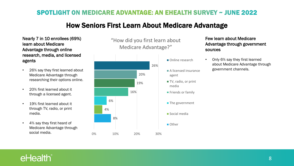### How Seniors First Learn About Medicare Advantage

Nearly 7 in 10 enrollees (69%) learn about Medicare Advantage through online research, media, and licensed agents

- 26% say they first learned about Medicare Advantage through researching their options online.
- 20% first learned about it through a licensed agent.
- 19% first learned about it through TV, radio, or print media.
- 4% say they first heard of Medicare Advantage through social media.

"How did you first learn about Medicare Advantage?"



Few learn about Medicare Advantage through government sources

• Only 6% say they first learned about Medicare Advantage through government channels.

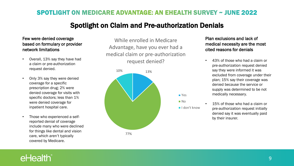#### Spotlight on Claim and Pre-authorization Denials

#### Few were denied coverage based on formulary or provider network limitations

- Overall, 13% say they have had a claim or pre-authorization request denied.
- Only 3% say they were denied coverage for a specific prescription drug; 2% were denied coverage for visits with specific doctors; less than 1% were denied coverage for inpatient hospital care.
- Those who experienced a selfreported denial of coverage include many who were declined for things like dental and vision care, which aren't typically covered by Medicare.

While enrolled in Medicare Advantage, have you ever had a medical claim or pre-authorization request denied?



Plan exclusions and lack of medical necessity are the most cited reasons for denials

- 43% of those who had a claim or pre-authorization request denied say they were informed it was excluded from coverage under their plan; 15% say their coverage was denied because the service or supply was determined to be not medically necessary.
- 15% of those who had a claim or pre-authorization request initially denied say it was eventually paid by their insurer.

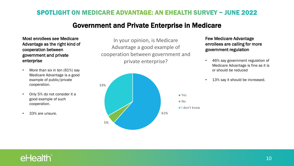#### Government and Private Enterprise in Medicare

Most enrollees see Medicare Advantage as the right kind of cooperation between government and private enterprise

- More than six in ten (61%) say Medicare Advantage is a good example of public/private cooperation.
- Only 5% do not consider it a good example of such cooperation.
- 33% are unsure.

In your opinion, is Medicare Advantage a good example of cooperation between government and private enterprise?



Few Medicare Advantage enrollees are calling for more government regulation

- 46% say government regulation of Medicare Advantage is fine as it is or should be reduced
- 13% say it should be increased.

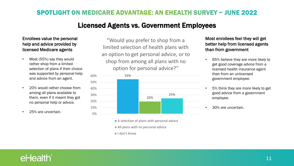#### Licensed Agents vs. Government Employees

#### Enrollees value the personal help and advice provided by licensed Medicare agents

- Most (55%) say they would rather shop from a limited selection of plans if their choice was supported by personal help and advice from an agent.
- 20% would rather choose from among all plans available to them, even if it meant they got no personal help or advice.
- 25% are uncertain.

"Would you prefer to shop from a limited selection of health plans with an option to get personal advice, or to shop from among all plans with no option for personal advice?"



- A selection of plans with personal advice
- All plans with no personal advice
- I don't know

Most enrollees feel they will get better help from licensed agents than from government

- 65% believe they are more likely to get good coverage advice from a licensed health insurance agent than from an unlicensed government employee.
- 5% think they are more likely to get good advice from a government employee.
- 30% are uncertain.

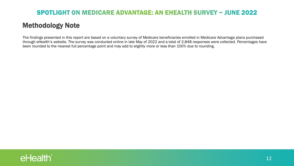### Methodology Note

The findings presented in this report are based on a voluntary survey of Medicare beneficiaries enrolled in Medicare Advantage plans purchased through eHealth's website. The survey was conducted online in late May of 2022 and a total of 2,848 responses were collected. Percentages have been rounded to the nearest full percentage point and may add to slightly more or less than 100% due to rounding.